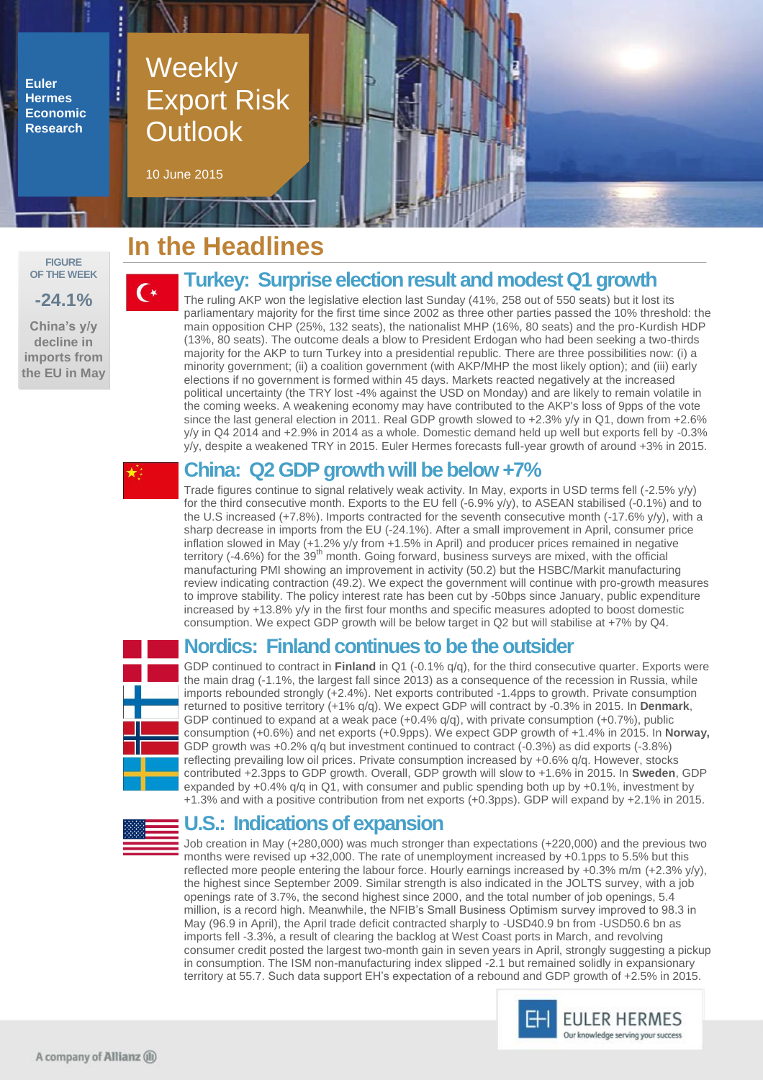**Euler Hermes Economic Research**

# **Weekly** Export Risk **Outlook**

10 June 2015

#### **FIGURE OF THE WEEK**

**-24.1%**

**China's y/y decline in imports from the EU in May**

# **In the Headlines**

## **Turkey: Surprise election result and modest Q1 growth**

The ruling AKP won the legislative election last Sunday (41%, 258 out of 550 seats) but it lost its parliamentary majority for the first time since 2002 as three other parties passed the 10% threshold: the main opposition CHP (25%, 132 seats), the nationalist MHP (16%, 80 seats) and the pro-Kurdish HDP (13%, 80 seats). The outcome deals a blow to President Erdogan who had been seeking a two-thirds majority for the AKP to turn Turkey into a presidential republic. There are three possibilities now: (i) a minority government; (ii) a coalition government (with AKP/MHP the most likely option); and (iii) early elections if no government is formed within 45 days. Markets reacted negatively at the increased political uncertainty (the TRY lost -4% against the USD on Monday) and are likely to remain volatile in the coming weeks. A weakening economy may have contributed to the AKP's loss of 9pps of the vote since the last general election in 2011. Real GDP growth slowed to +2.3% y/y in Q1, down from +2.6% y/y in Q4 2014 and +2.9% in 2014 as a whole. Domestic demand held up well but exports fell by -0.3% y/y, despite a weakened TRY in 2015. Euler Hermes forecasts full-year growth of around +3% in 2015.

 $\mathsf{C}\ast$ 

## **China: Q2 GDP growth will be below +7%**

Trade figures continue to signal relatively weak activity. In May, exports in USD terms fell (-2.5% y/y) for the third consecutive month. Exports to the EU fell (-6.9% y/y), to ASEAN stabilised (-0.1%) and to the U.S increased (+7.8%). Imports contracted for the seventh consecutive month (-17.6% y/y), with a sharp decrease in imports from the EU (-24.1%). After a small improvement in April, consumer price inflation slowed in May (+1.2% y/y from +1.5% in April) and producer prices remained in negative territory  $(-4.6%)$  for the 39<sup>th</sup> month. Going forward, business surveys are mixed, with the official manufacturing PMI showing an improvement in activity (50.2) but the HSBC/Markit manufacturing review indicating contraction (49.2). We expect the government will continue with pro-growth measures to improve stability. The policy interest rate has been cut by -50bps since January, public expenditure increased by +13.8% y/y in the first four months and specific measures adopted to boost domestic consumption. We expect GDP growth will be below target in Q2 but will stabilise at +7% by Q4.

### **Nordics: Finland continues to be the outsider**

GDP continued to contract in **Finland** in Q1 (-0.1% q/q), for the third consecutive quarter. Exports were the main drag (-1.1%, the largest fall since 2013) as a consequence of the recession in Russia, while imports rebounded strongly (+2.4%). Net exports contributed -1.4pps to growth. Private consumption returned to positive territory (+1% q/q). We expect GDP will contract by -0.3% in 2015. In **Denmark**, GDP continued to expand at a weak pace  $(+0.4\%$  q/q), with private consumption  $(+0.7\%)$ , public consumption (+0.6%) and net exports (+0.9pps). We expect GDP growth of +1.4% in 2015. In **Norway,** GDP growth was +0.2% q/q but investment continued to contract (-0.3%) as did exports (-3.8%) reflecting prevailing low oil prices. Private consumption increased by +0.6% q/q. However, stocks contributed +2.3pps to GDP growth. Overall, GDP growth will slow to +1.6% in 2015. In **Sweden**, GDP expanded by +0.4% q/q in Q1, with consumer and public spending both up by +0.1%, investment by +1.3% and with a positive contribution from net exports (+0.3pps). GDP will expand by +2.1% in 2015.



### **U.S.: Indications of expansion**

Job creation in May (+280,000) was much stronger than expectations (+220,000) and the previous two months were revised up +32,000. The rate of unemployment increased by +0.1pps to 5.5% but this reflected more people entering the labour force. Hourly earnings increased by +0.3% m/m (+2.3% y/y), the highest since September 2009. Similar strength is also indicated in the JOLTS survey, with a job openings rate of 3.7%, the second highest since 2000, and the total number of job openings, 5.4 million, is a record high. Meanwhile, the NFIB's Small Business Optimism survey improved to 98.3 in May (96.9 in April), the April trade deficit contracted sharply to -USD40.9 bn from -USD50.6 bn as imports fell -3.3%, a result of clearing the backlog at West Coast ports in March, and revolving consumer credit posted the largest two-month gain in seven years in April, strongly suggesting a pickup in consumption. The ISM non-manufacturing index slipped -2.1 but remained solidly in expansionary territory at 55.7. Such data support EH's expectation of a rebound and GDP growth of +2.5% in 2015.